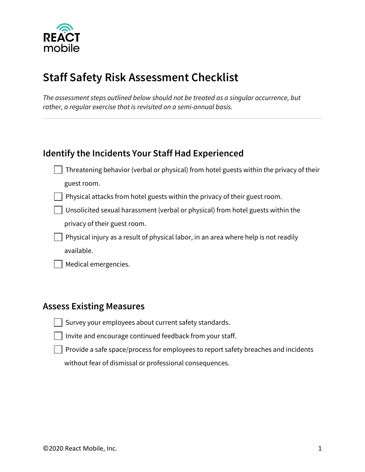

# **Staff Safety Risk Assessment Checklist**

*The assessment steps outlined below should not be treated as a singular occurrence, but rather, a regular exercise that is revisited on a semi-annual basis.*

### **Identify the Incidents Your Staff Had Experienced**

- Threatening behavior (verbal or physical) from hotel guests within the privacy of their guest room.
- Physical attacks from hotel guests within the privacy of their guest room.
- Unsolicited sexual harassment (verbal or physical) from hotel guests within the privacy of their guest room.
- **Physical injury as a result of physical labor, in an area where help is not readily** available.
	- Medical emergencies.

#### **Assess Existing Measures**

- $\exists$  Survey your employees about current safety standards.
- $\Box$  Invite and encourage continued feedback from your staff.
	- Provide a safe space/process for employees to report safety breaches and incidents without fear of dismissal or professional consequences.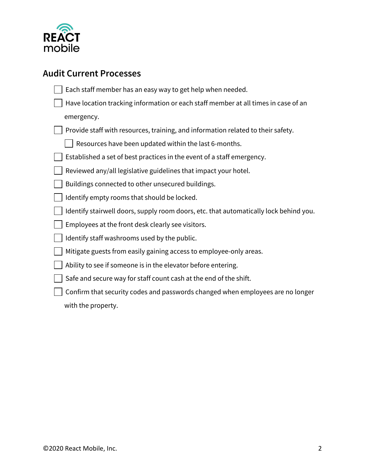

## **Audit Current Processes**

| Each staff member has an easy way to get help when needed.                            |
|---------------------------------------------------------------------------------------|
| Have location tracking information or each staff member at all times in case of an    |
| emergency.                                                                            |
| Provide staff with resources, training, and information related to their safety.      |
| Resources have been updated within the last 6-months.                                 |
| Established a set of best practices in the event of a staff emergency.                |
| Reviewed any/all legislative guidelines that impact your hotel.                       |
| Buildings connected to other unsecured buildings.                                     |
| Identify empty rooms that should be locked.                                           |
| Identify stairwell doors, supply room doors, etc. that automatically lock behind you. |
| Employees at the front desk clearly see visitors.                                     |
| Identify staff washrooms used by the public.                                          |
| Mitigate guests from easily gaining access to employee-only areas.                    |
| Ability to see if someone is in the elevator before entering.                         |
| Safe and secure way for staff count cash at the end of the shift.                     |
| Confirm that security codes and passwords changed when employees are no longer        |
| with the property.                                                                    |